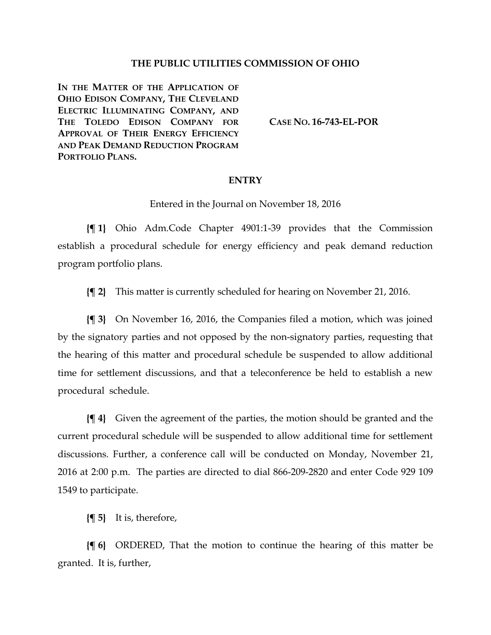## **THE PUBLIC UTILITIES COMMISSION OF OHIO**

**IN THE MATTER OF THE APPLICATION OF OHIO EDISON COMPANY, THE CLEVELAND ELECTRIC ILLUMINATING COMPANY, AND THE TOLEDO EDISON COMPANY FOR APPROVAL OF THEIR ENERGY EFFICIENCY AND PEAK DEMAND REDUCTION PROGRAM PORTFOLIO PLANS.**

**CASE NO. [16-743-EL-POR](http://dis.puc.state.oh.us/CaseRecord.aspx?CaseNo=16-743)**

## **ENTRY**

Entered in the Journal on November 18, 2016

**{¶ 1}** Ohio Adm.Code Chapter 4901:1-39 provides that the Commission establish a procedural schedule for energy efficiency and peak demand reduction program portfolio plans.

**{¶ 2}** This matter is currently scheduled for hearing on November 21, 2016.

**{¶ 3}** On November 16, 2016, the Companies filed a motion, which was joined by the signatory parties and not opposed by the non-signatory parties, requesting that the hearing of this matter and procedural schedule be suspended to allow additional time for settlement discussions, and that a teleconference be held to establish a new procedural schedule.

**{¶ 4}** Given the agreement of the parties, the motion should be granted and the current procedural schedule will be suspended to allow additional time for settlement discussions. Further, a conference call will be conducted on Monday, November 21, 2016 at 2:00 p.m. The parties are directed to dial 866-209-2820 and enter Code 929 109 1549 to participate.

**{¶ 5}** It is, therefore,

**{¶ 6}** ORDERED, That the motion to continue the hearing of this matter be granted. It is, further,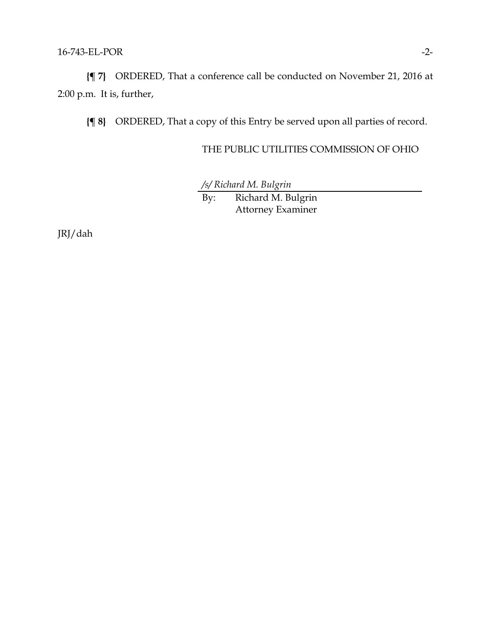**{¶ 7}** ORDERED, That a conference call be conducted on November 21, 2016 at 2:00 p.m. It is, further,

**{¶ 8}** ORDERED, That a copy of this Entry be served upon all parties of record.

## THE PUBLIC UTILITIES COMMISSION OF OHIO

*/s/ Richard M. Bulgrin*

By: Richard M. Bulgrin Attorney Examiner

JRJ/dah